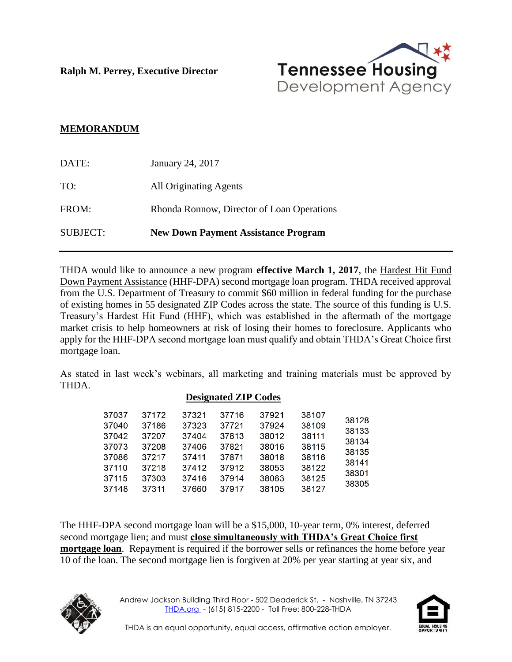**Ralph M. Perrey, Executive Director**



## **MEMORANDUM**

| <b>SUBJECT:</b> | <b>New Down Payment Assistance Program</b> |
|-----------------|--------------------------------------------|
| FROM:           | Rhonda Ronnow, Director of Loan Operations |
| TO:             | <b>All Originating Agents</b>              |
| DATE:           | January 24, 2017                           |

THDA would like to announce a new program **effective March 1, 2017**, the Hardest Hit Fund Down Payment Assistance (HHF-DPA) second mortgage loan program. THDA received approval from the U.S. Department of Treasury to commit \$60 million in federal funding for the purchase of existing homes in 55 designated ZIP Codes across the state. The source of this funding is U.S. Treasury's Hardest Hit Fund (HHF), which was established in the aftermath of the mortgage market crisis to help homeowners at risk of losing their homes to foreclosure. Applicants who apply for the HHF-DPA second mortgage loan must qualify and obtain THDA's Great Choice first mortgage loan.

As stated in last week's webinars, all marketing and training materials must be approved by THDA.

## **Designated ZIP Codes**

The HHF-DPA second mortgage loan will be a \$15,000, 10-year term, 0% interest, deferred second mortgage lien; and must **close simultaneously with THDA's Great Choice first mortgage loan**. Repayment is required if the borrower sells or refinances the home before year 10 of the loan. The second mortgage lien is forgiven at 20% per year starting at year six, and



Andrew Jackson Building Third Floor - 502 Deaderick St. - Nashville, TN 37243 [THDA.org](http://www.thda.org/) - (615) 815-2200 - Toll Free: 800-228-THDA